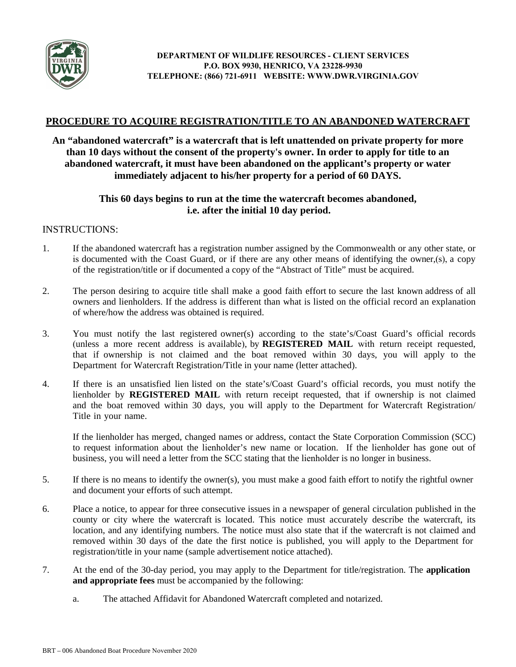

### **PROCEDURE TO ACQUIRE REGISTRATION/TITLE TO AN ABANDONED WATERCRAFT**

### **An "abandoned watercraft" is a watercraft that is left unattended on private property for more than 10 days without the consent of the property's owner. In order to apply for title to an abandoned watercraft, it must have been abandoned on the applicant's property or water immediately adjacent to his/her property for a period of 60 DAYS.**

### **This 60 days begins to run at the time the watercraft becomes abandoned, i.e. after the initial 10 day period.**

### INSTRUCTIONS:

- 1. If the abandoned watercraft has a registration number assigned by the Commonwealth or any other state, or is documented with the Coast Guard, or if there are any other means of identifying the owner,(s), a copy of the registration/title or if documented a copy of the "Abstract of Title" must be acquired.
- 2. The person desiring to acquire title shall make a good faith effort to secure the last known address of all owners and lienholders. If the address is different than what is listed on the official record an explanation of where/how the address was obtained is required.
- 3. You must notify the last registered owner(s) according to the state's/Coast Guard's official records (unless a more recent address is available), by **REGISTERED MAIL** with return receipt requested, that if ownership is not claimed and the boat removed within 30 days, you will apply to the Department for Watercraft Registration/Title in your name (letter attached).
- 4. If there is an unsatisfied lien listed on the state's/Coast Guard's official records, you must notify the lienholder by **REGISTERED MAIL** with return receipt requested, that if ownership is not claimed and the boat removed within 30 days, you will apply to the Department for Watercraft Registration/ Title in your name.

If the lienholder has merged, changed names or address, contact the State Corporation Commission (SCC) to request information about the lienholder's new name or location. If the lienholder has gone out of business, you will need a letter from the SCC stating that the lienholder is no longer in business.

- 5. If there is no means to identify the owner(s), you must make a good faith effort to notify the rightful owner and document your efforts of such attempt.
- 6. Place a notice, to appear for three consecutive issues in a newspaper of general circulation published in the county or city where the watercraft is located. This notice must accurately describe the watercraft, its location, and any identifying numbers. The notice must also state that if the watercraft is not claimed and removed within 30 days of the date the first notice is published, you will apply to the Department for registration/title in your name (sample advertisement notice attached).
- 7. At the end of the 30-day period, you may apply to the Department for title/registration. The **application and appropriate fees** must be accompanied by the following:
	- a. The attached Affidavit for Abandoned Watercraft completed and notarized.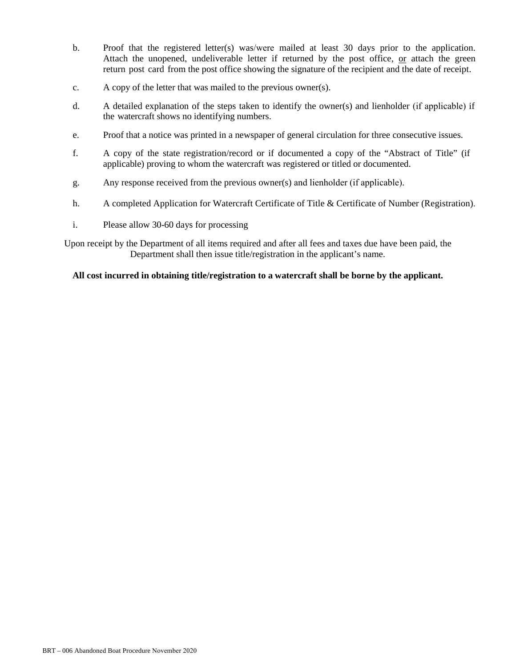- b. Proof that the registered letter(s) was/were mailed at least 30 days prior to the application. Attach the unopened, undeliverable letter if returned by the post office, or attach the green return post card from the post office showing the signature of the recipient and the date of receipt.
- c. A copy of the letter that was mailed to the previous owner(s).
- d. A detailed explanation of the steps taken to identify the owner(s) and lienholder (if applicable) if the watercraft shows no identifying numbers.
- e. Proof that a notice was printed in a newspaper of general circulation for three consecutive issues.
- f. A copy of the state registration/record or if documented a copy of the "Abstract of Title" (if applicable) proving to whom the watercraft was registered or titled or documented.
- g. Any response received from the previous owner(s) and lienholder (if applicable).
- h. A completed Application for Watercraft Certificate of Title & Certificate of Number (Registration).
- i. Please allow 30-60 days for processing

Upon receipt by the Department of all items required and after all fees and taxes due have been paid, the Department shall then issue title/registration in the applicant's name.

#### **All cost incurred in obtaining title/registration to a watercraft shall be borne by the applicant.**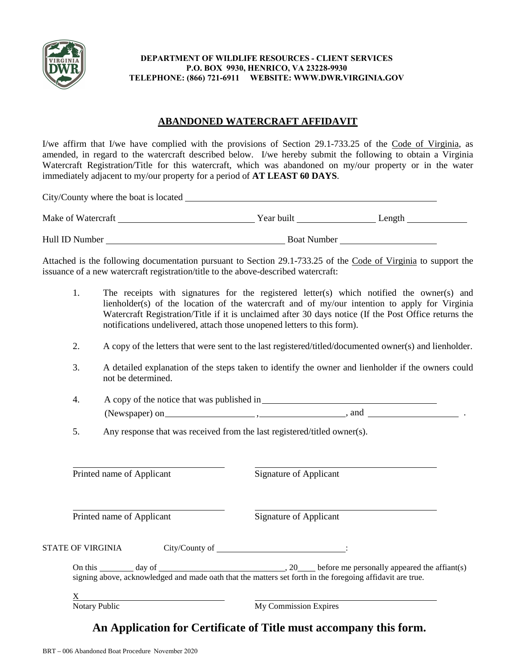

#### **DEPARTMENT OF WILDLIFE RESOURCES - CLIENT SERVICES P.O. BOX 9930, HENRICO, VA 23228-9930 TELEPHONE: (866) 721-6911 WEBSITE: WWW.DWR.VIRGINIA.GOV**

## **ABANDONED WATERCRAFT AFFIDAVIT**

I/we affirm that I/we have complied with the provisions of Section 29.1-733.25 of the Code of Virginia, as amended, in regard to the watercraft described below. I/we hereby submit the following to obtain a Virginia Watercraft Registration/Title for this watercraft, which was abandoned on my/our property or in the water immediately adjacent to my/our property for a period of **AT LEAST 60 DAYS**.

|                                                                                                              |                                                                                                                                | Attached is the following documentation pursuant to Section 29.1-733.25 of the Code of Virginia to support the<br>issuance of a new watercraft registration/title to the above-described watercraft:                                                                                                                                                                           |                        |  |  |  |
|--------------------------------------------------------------------------------------------------------------|--------------------------------------------------------------------------------------------------------------------------------|--------------------------------------------------------------------------------------------------------------------------------------------------------------------------------------------------------------------------------------------------------------------------------------------------------------------------------------------------------------------------------|------------------------|--|--|--|
|                                                                                                              | 1.                                                                                                                             | The receipts with signatures for the registered letter(s) which notified the owner(s) and<br>lienholder(s) of the location of the watercraft and of my/our intention to apply for Virginia<br>Watercraft Registration/Title if it is unclaimed after 30 days notice (If the Post Office returns the<br>notifications undelivered, attach those unopened letters to this form). |                        |  |  |  |
| 2.<br>A copy of the letters that were sent to the last registered/titled/documented owner(s) and lienholder. |                                                                                                                                |                                                                                                                                                                                                                                                                                                                                                                                |                        |  |  |  |
|                                                                                                              | A detailed explanation of the steps taken to identify the owner and lienholder if the owners could<br>3.<br>not be determined. |                                                                                                                                                                                                                                                                                                                                                                                |                        |  |  |  |
|                                                                                                              | 4.                                                                                                                             |                                                                                                                                                                                                                                                                                                                                                                                |                        |  |  |  |
|                                                                                                              |                                                                                                                                | $(Newspaper) on _______ , _______ , and _______ .$                                                                                                                                                                                                                                                                                                                             |                        |  |  |  |
|                                                                                                              | 5.                                                                                                                             | Any response that was received from the last registered/titled owner(s).                                                                                                                                                                                                                                                                                                       |                        |  |  |  |
|                                                                                                              | Printed name of Applicant<br>Printed name of Applicant                                                                         |                                                                                                                                                                                                                                                                                                                                                                                | Signature of Applicant |  |  |  |
|                                                                                                              |                                                                                                                                |                                                                                                                                                                                                                                                                                                                                                                                | Signature of Applicant |  |  |  |
|                                                                                                              |                                                                                                                                | STATE OF VIRGINIA                                                                                                                                                                                                                                                                                                                                                              |                        |  |  |  |
|                                                                                                              |                                                                                                                                | On this day of day of 30 day of 30 day of 30 day of 30 day of 30 day of 30 day of 30 day of 30 day of 30 day of 30 day of 30 day of 30 day of 30 day of 30 day of 30 day of 30 day of 30 day of 30 day of 30 day of 30 day of                                                                                                                                                  |                        |  |  |  |
|                                                                                                              |                                                                                                                                | $X \sim$<br>Notary Public                                                                                                                                                                                                                                                                                                                                                      | My Commission Expires  |  |  |  |

# **An Application for Certificate of Title must accompany this form.**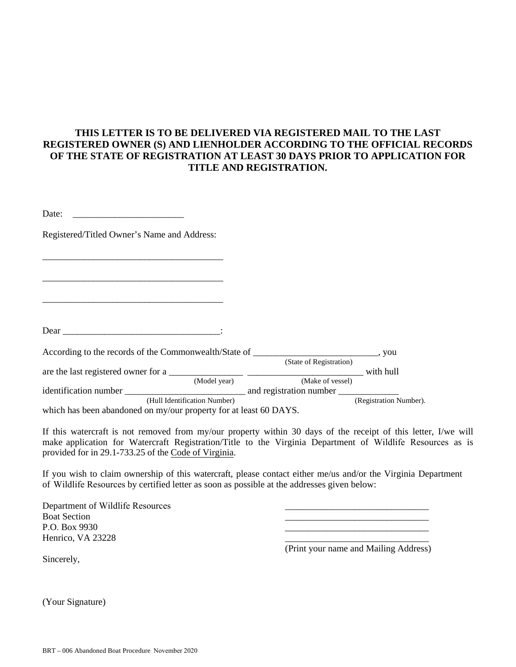## **THIS LETTER IS TO BE DELIVERED VIA REGISTERED MAIL TO THE LAST REGISTERED OWNER (S) AND LIENHOLDER ACCORDING TO THE OFFICIAL RECORDS OF THE STATE OF REGISTRATION AT LEAST 30 DAYS PRIOR TO APPLICATION FOR TITLE AND REGISTRATION.**

| Date:                                                                                  |              |                         |                        |
|----------------------------------------------------------------------------------------|--------------|-------------------------|------------------------|
| Registered/Titled Owner's Name and Address:                                            |              |                         |                        |
|                                                                                        |              |                         |                        |
|                                                                                        |              |                         |                        |
|                                                                                        |              |                         |                        |
|                                                                                        |              |                         |                        |
|                                                                                        |              |                         |                        |
| According to the records of the Commonwealth/State of ___________________________, you |              |                         |                        |
|                                                                                        |              | (State of Registration) |                        |
|                                                                                        |              |                         |                        |
|                                                                                        | (Model year) | (Make of vessel)        |                        |
|                                                                                        |              |                         |                        |
| (Hull Identification Number)                                                           |              |                         | (Registration Number). |
| which has been abandoned on my/our property for at least 60 DAYS.                      |              |                         |                        |

If this watercraft is not removed from my/our property within 30 days of the receipt of this letter, I/we will make application for Watercraft Registration/Title to the Virginia Department of Wildlife Resources as is provided for in 29.1-733.25 of the Code of Virginia.

If you wish to claim ownership of this watercraft, please contact either me/us and/or the Virginia Department of Wildlife Resources by certified letter as soon as possible at the addresses given below:

Department of Wildlife Resources Boat Section P.O. Box 9930 Henrico, VA 23228

(Print your name and Mailing Address)

\_\_\_\_\_\_\_\_\_\_\_\_\_\_\_\_\_\_\_\_\_\_\_\_\_\_\_\_\_\_\_ \_\_\_\_\_\_\_\_\_\_\_\_\_\_\_\_\_\_\_\_\_\_\_\_\_\_\_\_\_\_\_ \_\_\_\_\_\_\_\_\_\_\_\_\_\_\_\_\_\_\_\_\_\_\_\_\_\_\_\_\_\_\_

Sincerely,

(Your Signature)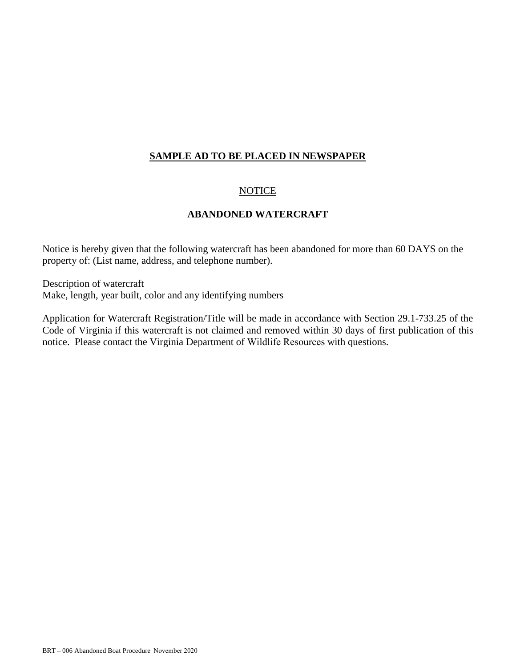### **SAMPLE AD TO BE PLACED IN NEWSPAPER**

### NOTICE

### **ABANDONED WATERCRAFT**

Notice is hereby given that the following watercraft has been abandoned for more than 60 DAYS on the property of: (List name, address, and telephone number).

Description of watercraft Make, length, year built, color and any identifying numbers

Application for Watercraft Registration/Title will be made in accordance with Section 29.1-733.25 of the Code of Virginia if this watercraft is not claimed and removed within 30 days of first publication of this notice. Please contact the Virginia Department of Wildlife Resources with questions.